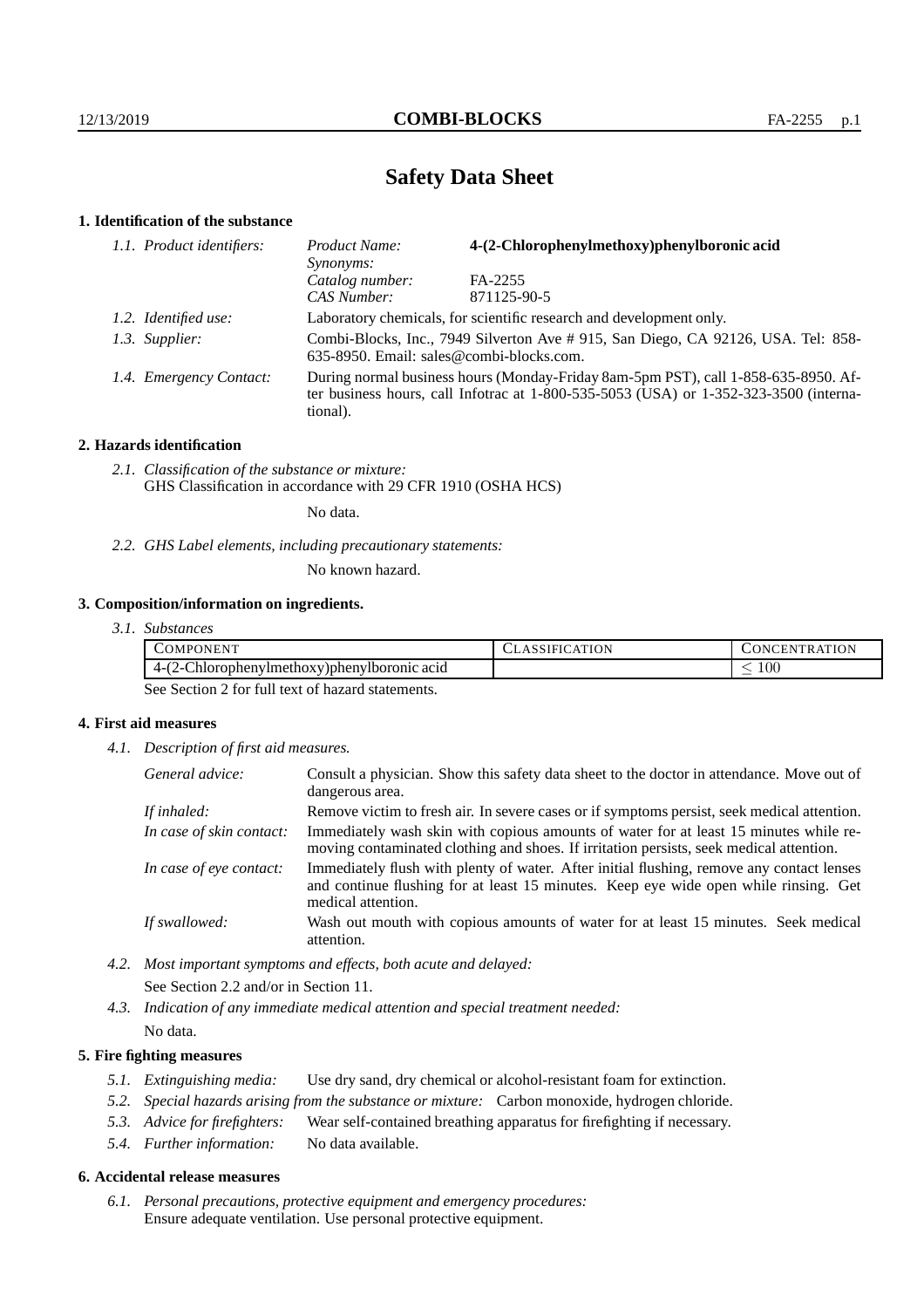# **Safety Data Sheet**

## **1. Identification of the substance**

| 1.1. Product identifiers: | 4-(2-Chlorophenylmethoxy)phenylboronic acid<br>Product Name:<br>Synonyms:                                                                                                                   |             |  |
|---------------------------|---------------------------------------------------------------------------------------------------------------------------------------------------------------------------------------------|-------------|--|
|                           | Catalog number:                                                                                                                                                                             | FA-2255     |  |
|                           | CAS Number:                                                                                                                                                                                 | 871125-90-5 |  |
| 1.2. Identified use:      | Laboratory chemicals, for scientific research and development only.                                                                                                                         |             |  |
| 1.3. Supplier:            | Combi-Blocks, Inc., 7949 Silverton Ave # 915, San Diego, CA 92126, USA. Tel: 858-<br>635-8950. Email: sales@combi-blocks.com.                                                               |             |  |
| 1.4. Emergency Contact:   | During normal business hours (Monday-Friday 8am-5pm PST), call 1-858-635-8950. Af-<br>ter business hours, call Infotrac at $1-800-535-5053$ (USA) or $1-352-323-3500$ (interna-<br>tional). |             |  |

## **2. Hazards identification**

*2.1. Classification of the substance or mixture:* GHS Classification in accordance with 29 CFR 1910 (OSHA HCS)

No data.

*2.2. GHS Label elements, including precautionary statements:*

No known hazard.

## **3. Composition/information on ingredients.**

*3.1. Substances*

| . <del>.</del><br>COMPC<br>ONEN'                                                   | .)N<br>┒ | <b>ATION</b><br>TR.<br>. . EP'<br><b>INI</b><br><u>д</u> і |
|------------------------------------------------------------------------------------|----------|------------------------------------------------------------|
| $\sim$<br>$\sqrt{2}$<br>-Chlorophenylmethoxy)phenylboromic acid<br>$4 - 12$<br>- 1 |          | $100\,$                                                    |

See Section 2 for full text of hazard statements.

## **4. First aid measures**

*4.1. Description of first aid measures.*

| General advice:          | Consult a physician. Show this safety data sheet to the doctor in attendance. Move out of<br>dangerous area.                                                                                            |
|--------------------------|---------------------------------------------------------------------------------------------------------------------------------------------------------------------------------------------------------|
| If inhaled:              | Remove victim to fresh air. In severe cases or if symptoms persist, seek medical attention.                                                                                                             |
| In case of skin contact: | Immediately wash skin with copious amounts of water for at least 15 minutes while re-<br>moving contaminated clothing and shoes. If irritation persists, seek medical attention.                        |
| In case of eye contact:  | Immediately flush with plenty of water. After initial flushing, remove any contact lenses<br>and continue flushing for at least 15 minutes. Keep eye wide open while rinsing. Get<br>medical attention. |
| If swallowed:            | Wash out mouth with copious amounts of water for at least 15 minutes. Seek medical<br>attention.                                                                                                        |

- *4.2. Most important symptoms and effects, both acute and delayed:* See Section 2.2 and/or in Section 11.
- *4.3. Indication of any immediate medical attention and special treatment needed:* No data.

## **5. Fire fighting measures**

- *5.1. Extinguishing media:* Use dry sand, dry chemical or alcohol-resistant foam for extinction.
- *5.2. Special hazards arising from the substance or mixture:* Carbon monoxide, hydrogen chloride.
- *5.3. Advice for firefighters:* Wear self-contained breathing apparatus for firefighting if necessary.
- *5.4. Further information:* No data available.

## **6. Accidental release measures**

*6.1. Personal precautions, protective equipment and emergency procedures:* Ensure adequate ventilation. Use personal protective equipment.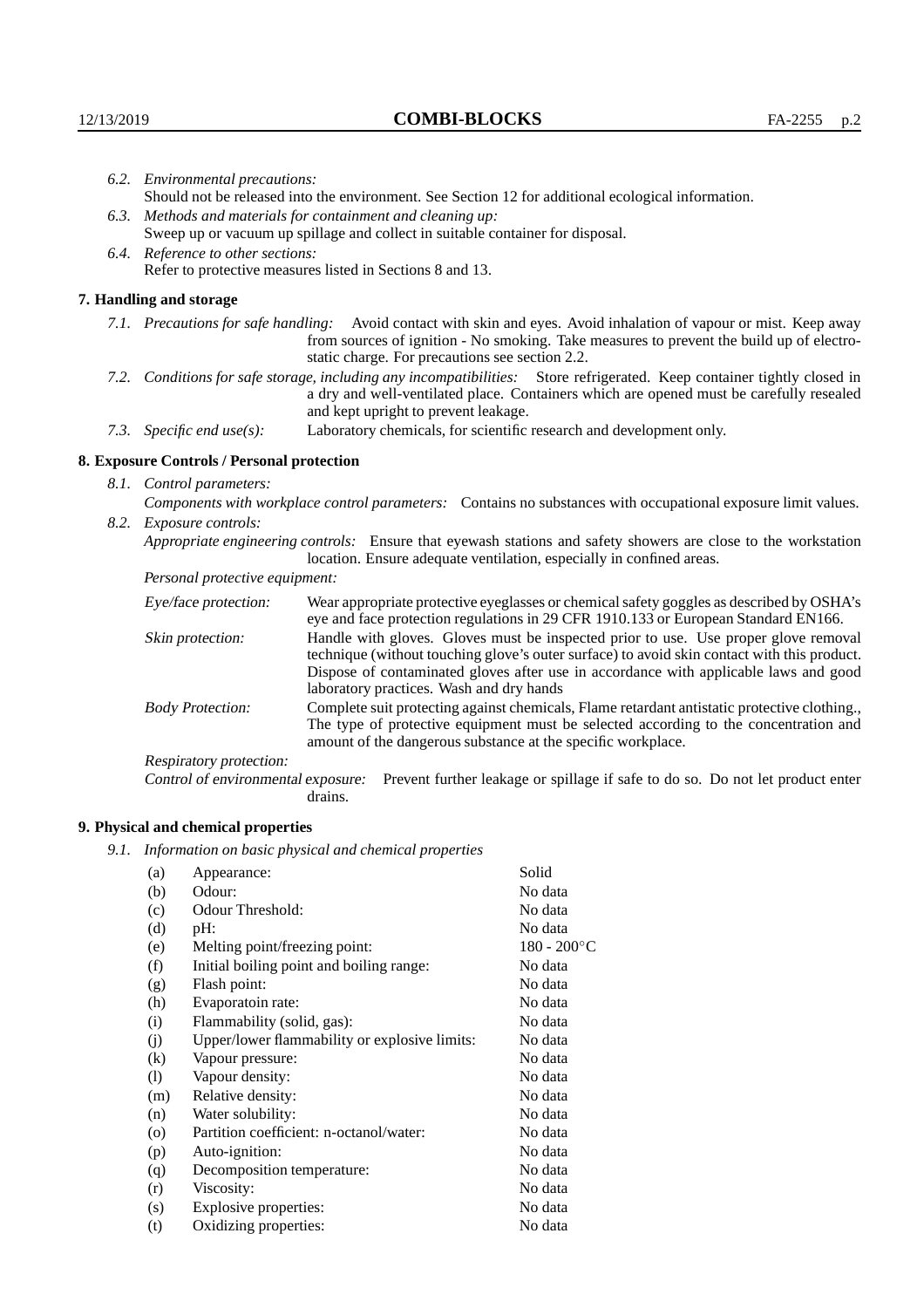| 6.2. Environmental precautions:                                                                                         |                                                                                                                                                                                        |                                                                                                                                                                                                                                                                            |  |  |  |
|-------------------------------------------------------------------------------------------------------------------------|----------------------------------------------------------------------------------------------------------------------------------------------------------------------------------------|----------------------------------------------------------------------------------------------------------------------------------------------------------------------------------------------------------------------------------------------------------------------------|--|--|--|
|                                                                                                                         | Should not be released into the environment. See Section 12 for additional ecological information.                                                                                     |                                                                                                                                                                                                                                                                            |  |  |  |
|                                                                                                                         | 6.3. Methods and materials for containment and cleaning up:                                                                                                                            |                                                                                                                                                                                                                                                                            |  |  |  |
|                                                                                                                         |                                                                                                                                                                                        | Sweep up or vacuum up spillage and collect in suitable container for disposal.                                                                                                                                                                                             |  |  |  |
| 6.4. Reference to other sections:                                                                                       |                                                                                                                                                                                        |                                                                                                                                                                                                                                                                            |  |  |  |
|                                                                                                                         |                                                                                                                                                                                        | Refer to protective measures listed in Sections 8 and 13.                                                                                                                                                                                                                  |  |  |  |
|                                                                                                                         | 7. Handling and storage                                                                                                                                                                |                                                                                                                                                                                                                                                                            |  |  |  |
|                                                                                                                         |                                                                                                                                                                                        | 7.1. Precautions for safe handling: Avoid contact with skin and eyes. Avoid inhalation of vapour or mist. Keep away<br>from sources of ignition - No smoking. Take measures to prevent the build up of electro-<br>static charge. For precautions see section 2.2.         |  |  |  |
| 7.2. Conditions for safe storage, including any incompatibilities: Store refrigerated. Keep container tightly closed in |                                                                                                                                                                                        | a dry and well-ventilated place. Containers which are opened must be carefully resealed<br>and kept upright to prevent leakage.                                                                                                                                            |  |  |  |
|                                                                                                                         | Laboratory chemicals, for scientific research and development only.<br>7.3. Specific end use(s):                                                                                       |                                                                                                                                                                                                                                                                            |  |  |  |
|                                                                                                                         | 8. Exposure Controls / Personal protection                                                                                                                                             |                                                                                                                                                                                                                                                                            |  |  |  |
|                                                                                                                         | 8.1. Control parameters:                                                                                                                                                               |                                                                                                                                                                                                                                                                            |  |  |  |
|                                                                                                                         |                                                                                                                                                                                        | Components with workplace control parameters: Contains no substances with occupational exposure limit values.                                                                                                                                                              |  |  |  |
|                                                                                                                         | 8.2. Exposure controls:                                                                                                                                                                |                                                                                                                                                                                                                                                                            |  |  |  |
|                                                                                                                         | Appropriate engineering controls: Ensure that eyewash stations and safety showers are close to the workstation<br>location. Ensure adequate ventilation, especially in confined areas. |                                                                                                                                                                                                                                                                            |  |  |  |
|                                                                                                                         | Personal protective equipment:                                                                                                                                                         |                                                                                                                                                                                                                                                                            |  |  |  |
|                                                                                                                         | Eye/face protection:                                                                                                                                                                   | Wear appropriate protective eyeglasses or chemical safety goggles as described by OSHA's<br>eye and face protection regulations in 29 CFR 1910.133 or European Standard EN166.                                                                                             |  |  |  |
|                                                                                                                         | Skin protection:                                                                                                                                                                       | Handle with gloves. Gloves must be inspected prior to use. Use proper glove removal<br>technique (without touching glove's outer surface) to avoid skin contact with this product.<br>Dispose of contaminated gloves after use in accordance with applicable laws and good |  |  |  |

laboratory practices. Wash and dry hands Body Protection: Complete suit protecting against chemicals, Flame retardant antistatic protective clothing., The type of protective equipment must be selected according to the concentration and amount of the dangerous substance at the specific workplace.

Respiratory protection:

Control of environmental exposure: Prevent further leakage or spillage if safe to do so. Do not let product enter drains.

# **9. Physical and chemical properties**

*9.1. Information on basic physical and chemical properties*

| (a)      | Appearance:                                   | Solid          |
|----------|-----------------------------------------------|----------------|
| (b)      | Odour:                                        | No data        |
| (c)      | Odour Threshold:                              | No data        |
| (d)      | pH:                                           | No data        |
| (e)      | Melting point/freezing point:                 | $180 - 200$ °C |
| (f)      | Initial boiling point and boiling range:      | No data        |
| (g)      | Flash point:                                  | No data        |
| (h)      | Evaporatoin rate:                             | No data        |
| (i)      | Flammability (solid, gas):                    | No data        |
| (j)      | Upper/lower flammability or explosive limits: | No data        |
| $\rm(k)$ | Vapour pressure:                              | No data        |
| (1)      | Vapour density:                               | No data        |
| (m)      | Relative density:                             | No data        |
| (n)      | Water solubility:                             | No data        |
| $\circ$  | Partition coefficient: n-octanol/water:       | No data        |
| (p)      | Auto-ignition:                                | No data        |
| (q)      | Decomposition temperature:                    | No data        |
| (r)      | Viscosity:                                    | No data        |
| (s)      | Explosive properties:                         | No data        |
| (t)      | Oxidizing properties:                         | No data        |
|          |                                               |                |